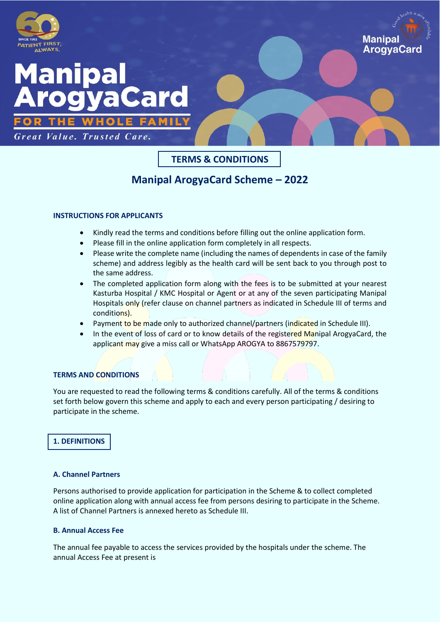

# Manipal Card

Great Value. Trusted Care.

# **TERMS & CONDITIONS**

**Manipal** 

**ArogyaCarc** 

# **Manipal ArogyaCard Scheme – 2022**

# **INSTRUCTIONS FOR APPLICANTS**

- Kindly read the terms and conditions before filling out the online application form.
- Please fill in the online application form completely in all respects.
- Please write the complete name (including the names of dependents in case of the family scheme) and address legibly as the health card will be sent back to you through post to the same address.
- The completed application form along with the fees is to be submitted at your nearest Kasturba Hospital / KMC Hospital or Agent or at any of the seven participating Manipal Hospitals only (refer clause on channel partners as indicated in Schedule III of terms and conditions).
- Payment to be made only to authorized channel/partners (indicated in Schedule III).
- In the event of loss of card or to know details of the registered Manipal ArogyaCard, the applicant may give a miss call or WhatsApp AROGYA to 8867579797.

# **TERMS AND CONDITIONS**

You are requested to read the following terms & conditions carefully. All of the terms & conditions set forth below govern this scheme and apply to each and every person participating / desiring to participate in the scheme.

# **1. DEFINITIONS**

# **A. Channel Partners**

Persons authorised to provide application for participation in the Scheme & to collect completed online application along with annual access fee from persons desiring to participate in the Scheme. A list of Channel Partners is annexed hereto as Schedule III.

# **B. Annual Access Fee**

The annual fee payable to access the services provided by the hospitals under the scheme. The annual Access Fee at present is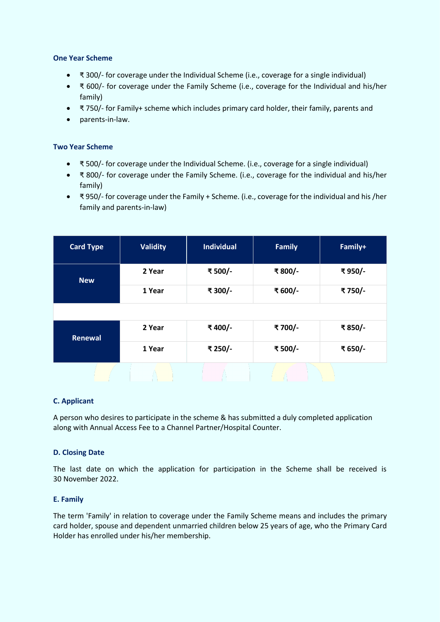#### **One Year Scheme**

- ₹ 300/- for coverage under the Individual Scheme (i.e., coverage for a single individual)
- ₹ 600/- for coverage under the Family Scheme (i.e., coverage for the Individual and his/her family)
- ₹ 750/- for Family+ scheme which includes primary card holder, their family, parents and
- parents-in-law.

#### **Two Year Scheme**

- ₹ 500/- for coverage under the Individual Scheme. (i.e., coverage for a single individual)
- ₹ 800/- for coverage under the Family Scheme. (i.e., coverage for the individual and his/her family)
- ₹ 950/- for coverage under the Family + Scheme. (i.e., coverage for the individual and his /her family and parents-in-law)

| <b>Card Type</b> | <b>Validity</b> | <b>Individual</b> | <b>Family</b> | Family+ |
|------------------|-----------------|-------------------|---------------|---------|
| <b>New</b>       | 2 Year          | ₹500/-            | ₹800/-        | ₹950/-  |
|                  | 1 Year          | ₹ 300/-           | ₹600/-        | ₹750/-  |
|                  |                 |                   |               |         |
| Renewal          | 2 Year          | ₹400/-            | ₹700/-        | ₹850/-  |
|                  | 1 Year          | ₹ 250/-           | ₹500/-        | ₹ 650/- |
|                  |                 |                   |               |         |

#### **C. Applicant**

A person who desires to participate in the scheme & has submitted a duly completed application along with Annual Access Fee to a Channel Partner/Hospital Counter.

#### **D. Closing Date**

The last date on which the application for participation in the Scheme shall be received is 30 November 2022.

#### **E. Family**

The term 'Family' in relation to coverage under the Family Scheme means and includes the primary card holder, spouse and dependent unmarried children below 25 years of age, who the Primary Card Holder has enrolled under his/her membership.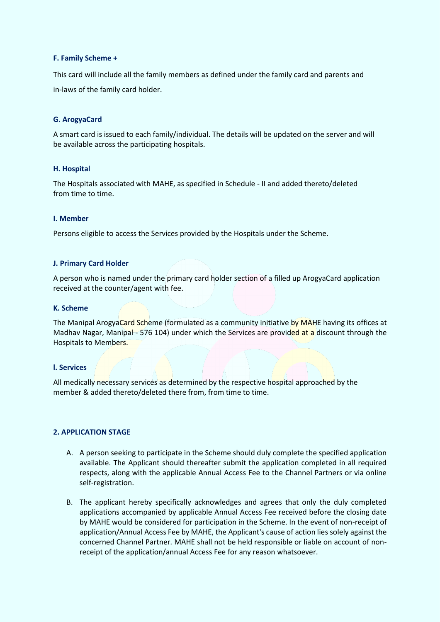#### **F. Family Scheme +**

This card will include all the family members as defined under the family card and parents and in-laws of the family card holder.

#### **G. ArogyaCard**

A smart card is issued to each family/individual. The details will be updated on the server and will be available across the participating hospitals.

#### **H. Hospital**

The Hospitals associated with MAHE, as specified in Schedule - II and added thereto/deleted from time to time.

#### **I. Member**

Persons eligible to access the Services provided by the Hospitals under the Scheme.

#### **J. Primary Card Holder**

A person who is named under the primary card holder section of a filled up ArogyaCard application received at the counter/agent with fee.

#### **K. Scheme**

The Manipal ArogyaCard Scheme (formulated as a community initiative by MAHE having its offices at Madhav Nagar, Manipal - 576 104) under which the Services are provided at a discount through the Hospitals to Members.

#### **l. Services**

All medically necessary services as determined by the respective hospital approached by the member & added thereto/deleted there from, from time to time.

#### **2. APPLICATION STAGE**

- A. A person seeking to participate in the Scheme should duly complete the specified application available. The Applicant should thereafter submit the application completed in all required respects, along with the applicable Annual Access Fee to the Channel Partners or via online self-registration.
- B. The applicant hereby specifically acknowledges and agrees that only the duly completed applications accompanied by applicable Annual Access Fee received before the closing date by MAHE would be considered for participation in the Scheme. In the event of non-receipt of application/Annual Access Fee by MAHE, the Applicant's cause of action lies solely against the concerned Channel Partner. MAHE shall not be held responsible or liable on account of nonreceipt of the application/annual Access Fee for any reason whatsoever.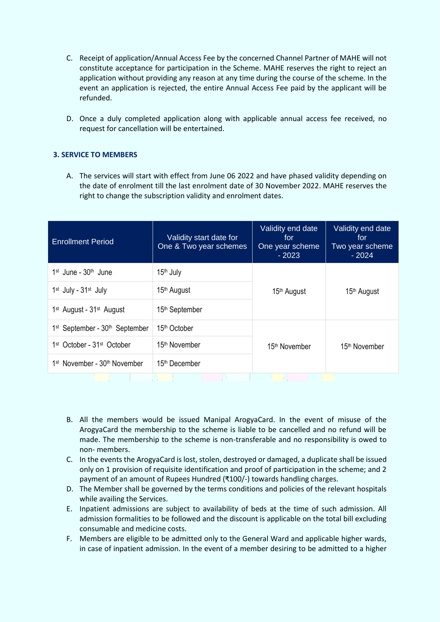- C. Receipt of application/Annual Access Fee by the concerned Channel Partner of MAHE will not constitute acceptance for participation in the Scheme. MAHE reserves the right to reject an application without providing any reason at any time during the course of the scheme. In the event an application is rejected, the entire Annual Access Fee paid by the applicant will be refunded.
- D. Once a duly completed application along with applicable annual access fee received, no request for cancellation will be entertained.

#### **3. SERVICE TO MEMBERS**

A. The services will start with effect from June 06 2022 and have phased validity depending on the date of enrolment till the last enrolment date of 30 November 2022. MAHE reserves the right to change the subscription validity and enrolment dates.

| <b>Enrollment Period</b>                               | Validity start date for<br>One & Two year schemes | Validity end date<br>for<br>One year scheme<br>$-2023$ | Validity end date<br>for<br>Two year scheme<br>$-2024$ |
|--------------------------------------------------------|---------------------------------------------------|--------------------------------------------------------|--------------------------------------------------------|
| $1st$ June - $30th$ June                               | 15 <sup>th</sup> July                             |                                                        | 15 <sup>th</sup> August                                |
| 1 <sup>st</sup> July - 31 <sup>st</sup> July           | 15 <sup>th</sup> August                           | 15 <sup>th</sup> August                                |                                                        |
| 1 <sup>st</sup> August - 31 <sup>st</sup> August       | 15 <sup>th</sup> September                        |                                                        |                                                        |
| 1 <sup>st</sup> September - 30 <sup>th</sup> September | 15 <sup>th</sup> October                          | 15 <sup>th</sup> November                              | 15 <sup>th</sup> November                              |
| 1 <sup>st</sup> October - 31 <sup>st</sup> October     | 15 <sup>th</sup> November                         |                                                        |                                                        |
| 1 <sup>st</sup> November - 30 <sup>th</sup> November   | 15th December                                     |                                                        |                                                        |

- B. All the members would be issued Manipal ArogyaCard. In the event of misuse of the ArogyaCard the membership to the scheme is liable to be cancelled and no refund will be made. The membership to the scheme is non-transferable and no responsibility is owed to non- members.
- C. In the events the ArogyaCard is lost, stolen, destroyed or damaged, a duplicate shall be issued only on 1 provision of requisite identification and proof of participation in the scheme; and 2 payment of an amount of Rupees Hundred (₹100/-) towards handling charges.
- D. The Member shall be governed by the terms conditions and policies of the relevant hospitals while availing the Services.
- E. Inpatient admissions are subject to availability of beds at the time of such admission. All admission formalities to be followed and the discount is applicable on the total bill excluding consumable and medicine costs.
- F. Members are eligible to be admitted only to the General Ward and applicable higher wards, in case of inpatient admission. In the event of a member desiring to be admitted to a higher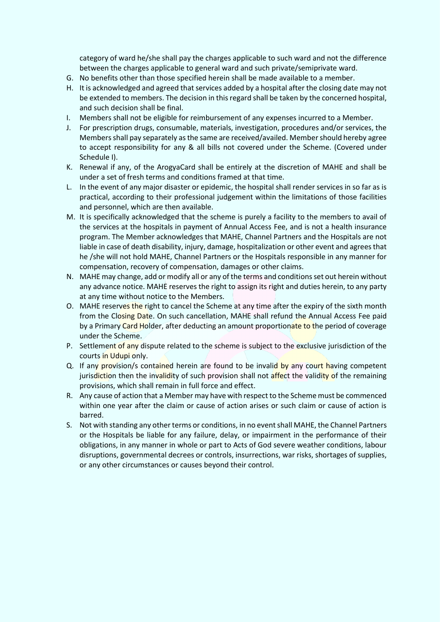category of ward he/she shall pay the charges applicable to such ward and not the difference between the charges applicable to general ward and such private/semiprivate ward.

- G. No benefits other than those specified herein shall be made available to a member.
- H. It is acknowledged and agreed that services added by a hospital after the closing date may not be extended to members. The decision in this regard shall be taken by the concerned hospital, and such decision shall be final.
- I. Members shall not be eligible for reimbursement of any expenses incurred to a Member.
- J. For prescription drugs, consumable, materials, investigation, procedures and/or services, the Members shall pay separately as the same are received/availed. Member should hereby agree to accept responsibility for any & all bills not covered under the Scheme. (Covered under Schedule I).
- K. Renewal if any, of the ArogyaCard shall be entirely at the discretion of MAHE and shall be under a set of fresh terms and conditions framed at that time.
- L. In the event of any major disaster or epidemic, the hospital shall render services in so far as is practical, according to their professional judgement within the limitations of those facilities and personnel, which are then available.
- M. It is specifically acknowledged that the scheme is purely a facility to the members to avail of the services at the hospitals in payment of Annual Access Fee, and is not a health insurance program. The Member acknowledges that MAHE, Channel Partners and the Hospitals are not liable in case of death disability, injury, damage, hospitalization or other event and agrees that he /she will not hold MAHE, Channel Partners or the Hospitals responsible in any manner for compensation, recovery of compensation, damages or other claims.
- N. MAHE may change, add or modify all or any of the terms and conditions set out herein without any advance notice. MAHE reserves the right to assign its right and duties herein, to any party at any time without notice to the Members.
- O. MAHE reserves the right to cancel the Scheme at any time after the expiry of the sixth month from the Closing Date. On such cancellation, MAHE shall refund the Annual Access Fee paid by a Primary Card Holder, after deducting an amount proportionate to the period of coverage under the Scheme.
- P. Settlement of any dispute related to the scheme is subject to the exclusive jurisdiction of the courts in Udupi only.
- Q. If any provision/s contained herein are found to be invalid by any court having competent jurisdiction then the invalidity of such provision shall not affect the validity of the remaining provisions, which shall remain in full force and effect.
- R. Any cause of action that a Member may have with respect to the Scheme must be commenced within one year after the claim or cause of action arises or such claim or cause of action is barred.
- S. Not with standing any other terms or conditions, in no event shall MAHE, the Channel Partners or the Hospitals be liable for any failure, delay, or impairment in the performance of their obligations, in any manner in whole or part to Acts of God severe weather conditions, labour disruptions, governmental decrees or controls, insurrections, war risks, shortages of supplies, or any other circumstances or causes beyond their control.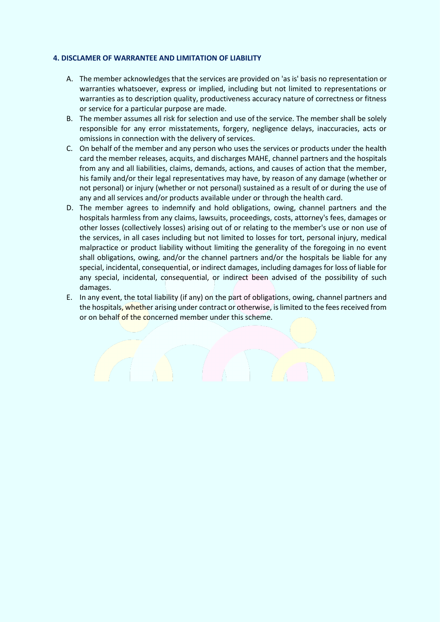#### **4. DISCLAMER OF WARRANTEE AND LIMITATION OF LIABILITY**

- A. The member acknowledges that the services are provided on 'as is' basis no representation or warranties whatsoever, express or implied, including but not limited to representations or warranties as to description quality, productiveness accuracy nature of correctness or fitness or service for a particular purpose are made.
- B. The member assumes all risk for selection and use of the service. The member shall be solely responsible for any error misstatements, forgery, negligence delays, inaccuracies, acts or omissions in connection with the delivery of services.
- C. On behalf of the member and any person who uses the services or products under the health card the member releases, acquits, and discharges MAHE, channel partners and the hospitals from any and all liabilities, claims, demands, actions, and causes of action that the member, his family and/or their legal representatives may have, by reason of any damage (whether or not personal) or injury (whether or not personal) sustained as a result of or during the use of any and all services and/or products available under or through the health card.
- D. The member agrees to indemnify and hold obligations, owing, channel partners and the hospitals harmless from any claims, lawsuits, proceedings, costs, attorney's fees, damages or other losses (collectively losses) arising out of or relating to the member's use or non use of the services, in all cases including but not limited to losses for tort, personal injury, medical malpractice or product liability without limiting the generality of the foregoing in no event shall obligations, owing, and/or the channel partners and/or the hospitals be liable for any special, incidental, consequential, or indirect damages, including damages for loss of liable for any special, incidental, consequential, or indirect been advised of the possibility of such damages.
- E. In any event, the total liability (if any) on the part of obligations, owing, channel partners and the hospitals, whether arising under contract or otherwise, is limited to the fees received from or on behalf of the concerned member under this scheme.